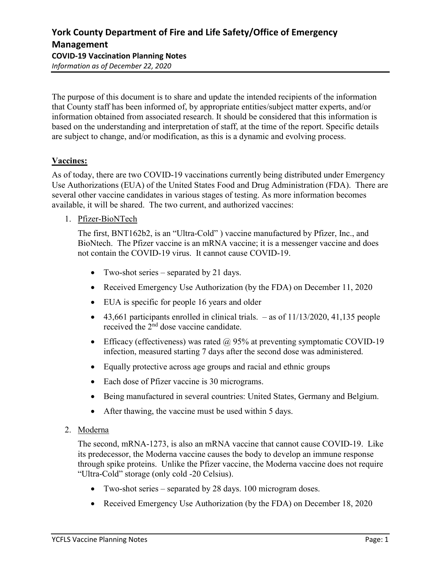The purpose of this document is to share and update the intended recipients of the information that County staff has been informed of, by appropriate entities/subject matter experts, and/or information obtained from associated research. It should be considered that this information is based on the understanding and interpretation of staff, at the time of the report. Specific details are subject to change, and/or modification, as this is a dynamic and evolving process.

# Vaccines:

As of today, there are two COVID-19 vaccinations currently being distributed under Emergency Use Authorizations (EUA) of the United States Food and Drug Administration (FDA). There are several other vaccine candidates in various stages of testing. As more information becomes available, it will be shared. The two current, and authorized vaccines:

1. Pfizer-BioNTech

The first, BNT162b2, is an "Ultra-Cold" ) vaccine manufactured by Pfizer, Inc., and BioNtech. The Pfizer vaccine is an mRNA vaccine; it is a messenger vaccine and does not contain the COVID-19 virus. It cannot cause COVID-19.

- Two-shot series separated by 21 days.
- Received Emergency Use Authorization (by the FDA) on December 11, 2020
- EUA is specific for people 16 years and older
- $\bullet$  43,661 participants enrolled in clinical trials. as of 11/13/2020, 41,135 people received the 2nd dose vaccine candidate.
- Efficacy (effectiveness) was rated  $\omega$  95% at preventing symptomatic COVID-19 infection, measured starting 7 days after the second dose was administered.
- Equally protective across age groups and racial and ethnic groups
- Each dose of Pfizer vaccine is 30 micrograms.
- Being manufactured in several countries: United States, Germany and Belgium.
- After thawing, the vaccine must be used within 5 days.
- 2. Moderna

The second, mRNA-1273, is also an mRNA vaccine that cannot cause COVID-19. Like its predecessor, the Moderna vaccine causes the body to develop an immune response through spike proteins. Unlike the Pfizer vaccine, the Moderna vaccine does not require "Ultra-Cold" storage (only cold -20 Celsius).

- Two-shot series separated by 28 days. 100 microgram doses.
- Received Emergency Use Authorization (by the FDA) on December 18, 2020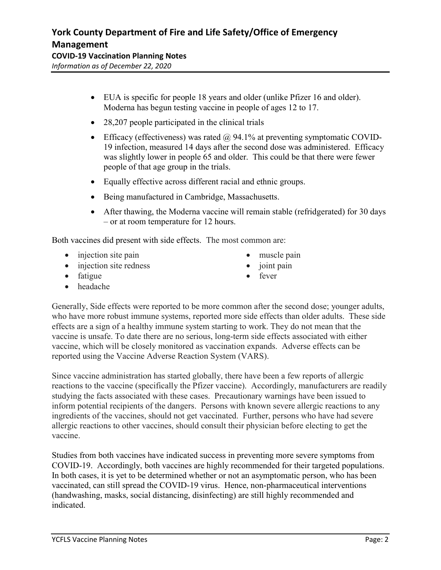Information as of December 22, 2020

- EUA is specific for people 18 years and older (unlike Pfizer 16 and older). Moderna has begun testing vaccine in people of ages 12 to 17.
- 28,207 people participated in the clinical trials
- **Efficacy (effectiveness)** was rated  $\omega$  94.1% at preventing symptomatic COVID-19 infection, measured 14 days after the second dose was administered. Efficacy was slightly lower in people 65 and older. This could be that there were fewer people of that age group in the trials.
- Equally effective across different racial and ethnic groups.
- Being manufactured in Cambridge, Massachusetts.
- After thawing, the Moderna vaccine will remain stable (refridgerated) for 30 days – or at room temperature for 12 hours.

Both vaccines did present with side effects. The most common are:

- $\bullet$  injection site pain
- injection site redness
- muscle pain
- $\bullet$  joint pain

• fever

- fatigue
- headache

Generally, Side effects were reported to be more common after the second dose; younger adults, who have more robust immune systems, reported more side effects than older adults. These side effects are a sign of a healthy immune system starting to work. They do not mean that the vaccine is unsafe. To date there are no serious, long-term side effects associated with either vaccine, which will be closely monitored as vaccination expands. Adverse effects can be reported using the Vaccine Adverse Reaction System (VARS).

Since vaccine administration has started globally, there have been a few reports of allergic reactions to the vaccine (specifically the Pfizer vaccine). Accordingly, manufacturers are readily studying the facts associated with these cases. Precautionary warnings have been issued to inform potential recipients of the dangers. Persons with known severe allergic reactions to any ingredients of the vaccines, should not get vaccinated. Further, persons who have had severe allergic reactions to other vaccines, should consult their physician before electing to get the vaccine.

Studies from both vaccines have indicated success in preventing more severe symptoms from COVID-19. Accordingly, both vaccines are highly recommended for their targeted populations. In both cases, it is yet to be determined whether or not an asymptomatic person, who has been vaccinated, can still spread the COVID-19 virus. Hence, non-pharmaceutical interventions (handwashing, masks, social distancing, disinfecting) are still highly recommended and indicated.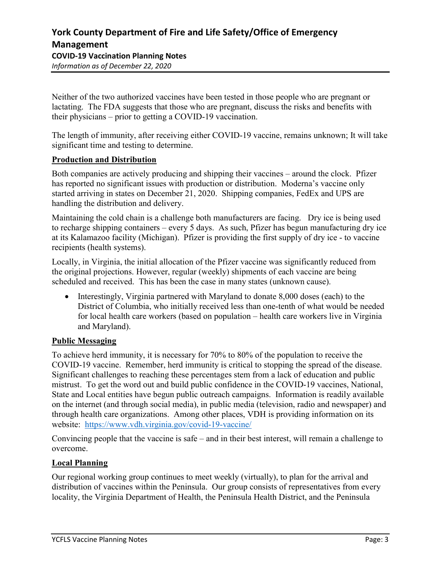Neither of the two authorized vaccines have been tested in those people who are pregnant or lactating. The FDA suggests that those who are pregnant, discuss the risks and benefits with their physicians – prior to getting a COVID-19 vaccination.

The length of immunity, after receiving either COVID-19 vaccine, remains unknown; It will take significant time and testing to determine.

### Production and Distribution

Both companies are actively producing and shipping their vaccines – around the clock. Pfizer has reported no significant issues with production or distribution. Moderna's vaccine only started arriving in states on December 21, 2020. Shipping companies, FedEx and UPS are handling the distribution and delivery.

Maintaining the cold chain is a challenge both manufacturers are facing. Dry ice is being used to recharge shipping containers – every 5 days. As such, Pfizer has begun manufacturing dry ice at its Kalamazoo facility (Michigan). Pfizer is providing the first supply of dry ice - to vaccine recipients (health systems).

Locally, in Virginia, the initial allocation of the Pfizer vaccine was significantly reduced from the original projections. However, regular (weekly) shipments of each vaccine are being scheduled and received. This has been the case in many states (unknown cause).

• Interestingly, Virginia partnered with Maryland to donate 8,000 doses (each) to the District of Columbia, who initially received less than one-tenth of what would be needed for local health care workers (based on population – health care workers live in Virginia and Maryland).

## Public Messaging

To achieve herd immunity, it is necessary for 70% to 80% of the population to receive the COVID-19 vaccine. Remember, herd immunity is critical to stopping the spread of the disease. Significant challenges to reaching these percentages stem from a lack of education and public mistrust. To get the word out and build public confidence in the COVID-19 vaccines, National, State and Local entities have begun public outreach campaigns. Information is readily available on the internet (and through social media), in public media (television, radio and newspaper) and through health care organizations. Among other places, VDH is providing information on its website: https://www.vdh.virginia.gov/covid-19-vaccine/

Convincing people that the vaccine is safe – and in their best interest, will remain a challenge to overcome.

### Local Planning

Our regional working group continues to meet weekly (virtually), to plan for the arrival and distribution of vaccines within the Peninsula. Our group consists of representatives from every locality, the Virginia Department of Health, the Peninsula Health District, and the Peninsula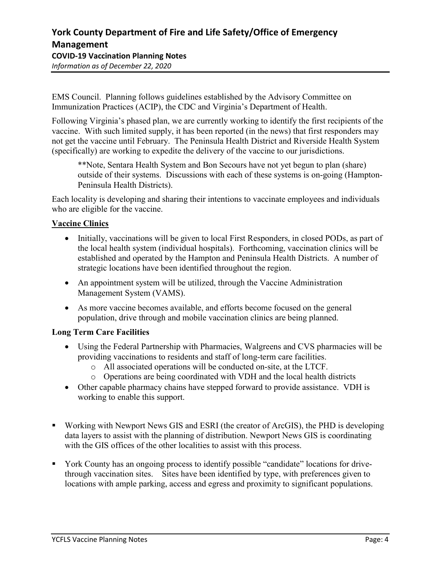EMS Council. Planning follows guidelines established by the Advisory Committee on Immunization Practices (ACIP), the CDC and Virginia's Department of Health.

Following Virginia's phased plan, we are currently working to identify the first recipients of the vaccine. With such limited supply, it has been reported (in the news) that first responders may not get the vaccine until February. The Peninsula Health District and Riverside Health System (specifically) are working to expedite the delivery of the vaccine to our jurisdictions.

\*\*Note, Sentara Health System and Bon Secours have not yet begun to plan (share) outside of their systems. Discussions with each of these systems is on-going (Hampton-Peninsula Health Districts).

Each locality is developing and sharing their intentions to vaccinate employees and individuals who are eligible for the vaccine.

# Vaccine Clinics

- Initially, vaccinations will be given to local First Responders, in closed PODs, as part of the local health system (individual hospitals). Forthcoming, vaccination clinics will be established and operated by the Hampton and Peninsula Health Districts. A number of strategic locations have been identified throughout the region.
- An appointment system will be utilized, through the Vaccine Administration Management System (VAMS).
- As more vaccine becomes available, and efforts become focused on the general population, drive through and mobile vaccination clinics are being planned.

## Long Term Care Facilities

- Using the Federal Partnership with Pharmacies, Walgreens and CVS pharmacies will be providing vaccinations to residents and staff of long-term care facilities.
	- o All associated operations will be conducted on-site, at the LTCF.
	- o Operations are being coordinated with VDH and the local health districts
- Other capable pharmacy chains have stepped forward to provide assistance. VDH is working to enable this support.
- Working with Newport News GIS and ESRI (the creator of ArcGIS), the PHD is developing data layers to assist with the planning of distribution. Newport News GIS is coordinating with the GIS offices of the other localities to assist with this process.
- York County has an ongoing process to identify possible "candidate" locations for drivethrough vaccination sites. Sites have been identified by type, with preferences given to locations with ample parking, access and egress and proximity to significant populations.